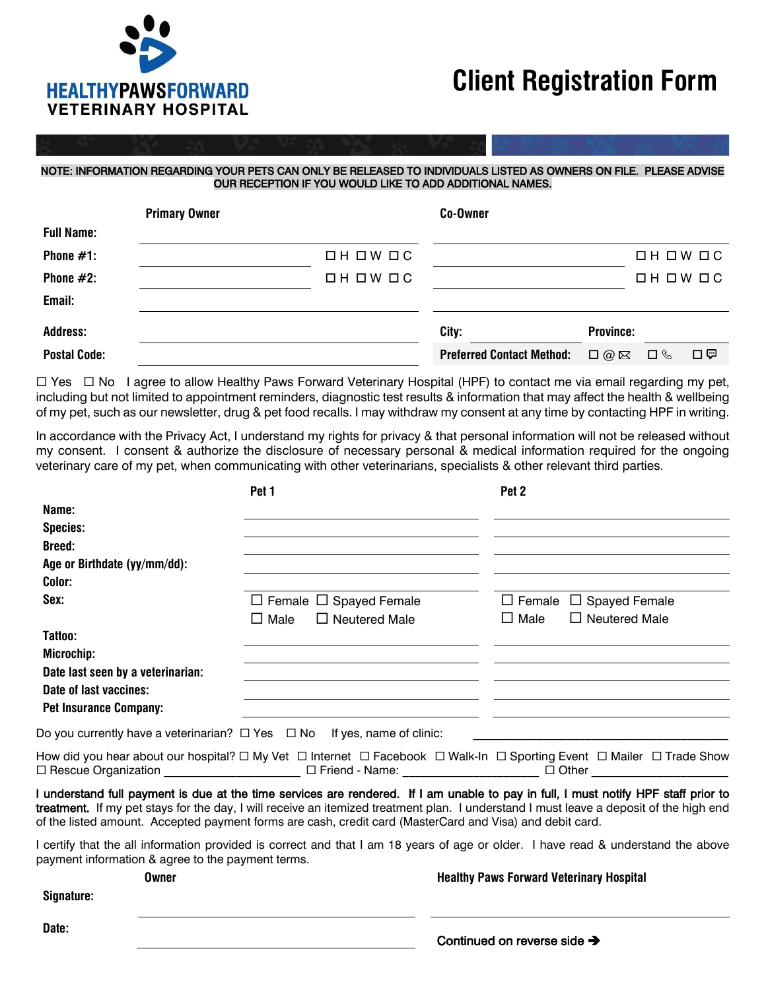

**Signature:**

**Date:**

## **Client Registration Form**

## NOTE: INFORMATION REGARDING YOUR PETS CAN ONLY BE RELEASED TO INDIVIDUALS LISTED AS OWNERS ON FILE. PLEASE ADVISE OUR RECEPTION IF YOU WOULD LIKE TO ADD ADDITIONAL NAMES.

|                     | <b>Primary Owner</b> |               | Co-Owner                         |                       |                        |    |
|---------------------|----------------------|---------------|----------------------------------|-----------------------|------------------------|----|
| <b>Full Name:</b>   |                      |               |                                  |                       |                        |    |
| Phone $#1$ :        |                      | $□ H □ W □ C$ |                                  |                       | $\Box H \Box W \Box C$ |    |
| Phone $#2$ :        |                      | $□ H □ W □ C$ |                                  |                       | $\Box H \Box W \Box C$ |    |
| Email:              |                      |               |                                  |                       |                        |    |
| <b>Address:</b>     |                      |               | City:                            | <b>Province:</b>      |                        |    |
| <b>Postal Code:</b> |                      |               | <b>Preferred Contact Method:</b> | $\square$ @ $\square$ | □ ⊗                    | 口空 |

 $\Box$  Yes  $\Box$  No I agree to allow Healthy Paws Forward Veterinary Hospital (HPF) to contact me via email regarding my pet, including but not limited to appointment reminders, diagnostic test results & information that may affect the health & wellbeing of my pet, such as our newsletter, drug & pet food recalls. I may withdraw my consent at any time by contacting HPF in writing.

In accordance with the Privacy Act, I understand my rights for privacy & that personal information will not be released without my consent. I consent & authorize the disclosure of necessary personal & medical information required for the ongoing veterinary care of my pet, when communicating with other veterinarians, specialists & other relevant third parties.

|                                                                                    | Pet 1                                                                                                    | Pet 2                                                                                                                                                                                                                                                                         |
|------------------------------------------------------------------------------------|----------------------------------------------------------------------------------------------------------|-------------------------------------------------------------------------------------------------------------------------------------------------------------------------------------------------------------------------------------------------------------------------------|
| Name:                                                                              |                                                                                                          |                                                                                                                                                                                                                                                                               |
| <b>Species:</b>                                                                    |                                                                                                          |                                                                                                                                                                                                                                                                               |
| <b>Breed:</b>                                                                      |                                                                                                          |                                                                                                                                                                                                                                                                               |
| Age or Birthdate (yy/mm/dd):                                                       |                                                                                                          |                                                                                                                                                                                                                                                                               |
| Color:                                                                             |                                                                                                          |                                                                                                                                                                                                                                                                               |
| Sex:                                                                               | $\Box$ Female $\Box$ Spayed Female                                                                       | $\Box$ Female $\Box$ Spayed Female                                                                                                                                                                                                                                            |
|                                                                                    | $\square$ Male<br>$\Box$ Neutered Male                                                                   | $\Box$ Male<br>$\Box$ Neutered Male                                                                                                                                                                                                                                           |
| Tattoo:                                                                            |                                                                                                          |                                                                                                                                                                                                                                                                               |
| Microchip:                                                                         |                                                                                                          |                                                                                                                                                                                                                                                                               |
| Date last seen by a veterinarian:                                                  |                                                                                                          |                                                                                                                                                                                                                                                                               |
| Date of last vaccines:                                                             |                                                                                                          |                                                                                                                                                                                                                                                                               |
| <b>Pet Insurance Company:</b>                                                      |                                                                                                          |                                                                                                                                                                                                                                                                               |
| Do you currently have a veterinarian? $\Box$ Yes $\Box$ No If yes, name of clinic: |                                                                                                          |                                                                                                                                                                                                                                                                               |
|                                                                                    |                                                                                                          | How did you hear about our hospital? ロ My Vet ロ Internet ロ Facebook ロ Walk-In ロ Sporting Event ロ Mailer ロ Trade Show<br>□ Rescue Organization _____________________ □ Friend - Name: ___________________ □ Other _____________________                                        |
|                                                                                    | of the listed amount. Accepted payment forms are cash, credit card (MasterCard and Visa) and debit card. | I understand full payment is due at the time services are rendered. If I am unable to pay in full, I must notify HPF staff prior to<br>treatment. If my pet stays for the day, I will receive an itemized treatment plan. I understand I must leave a deposit of the high end |
| payment information & agree to the payment terms.                                  |                                                                                                          | I certify that the all information provided is correct and that I am 18 years of age or older. I have read & understand the above                                                                                                                                             |
| Owner                                                                              |                                                                                                          | <b>Healthy Paws Forward Veterinary Hospital</b>                                                                                                                                                                                                                               |

| Continued on reverse side → |
|-----------------------------|